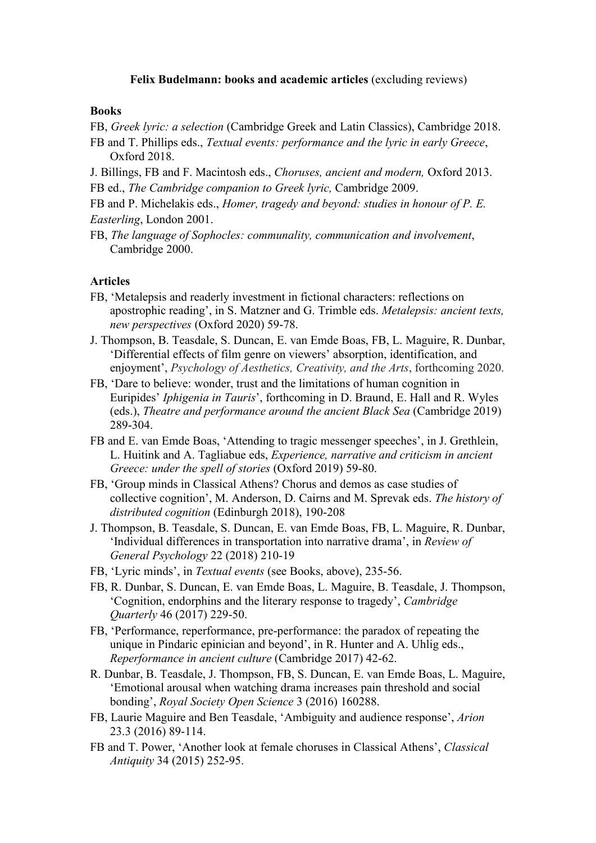## **Felix Budelmann: books and academic articles** (excluding reviews)

## **Books**

FB, *Greek lyric: a selection* (Cambridge Greek and Latin Classics), Cambridge 2018.

- FB and T. Phillips eds., *Textual events: performance and the lyric in early Greece*, Oxford 2018.
- J. Billings, FB and F. Macintosh eds., *Choruses, ancient and modern,* Oxford 2013.
- FB ed., *The Cambridge companion to Greek lyric,* Cambridge 2009.
- FB and P. Michelakis eds., *Homer, tragedy and beyond: studies in honour of P. E. Easterling*, London 2001.
- FB, *The language of Sophocles: communality, communication and involvement*, Cambridge 2000.

## **Articles**

- FB, 'Metalepsis and readerly investment in fictional characters: reflections on apostrophic reading', in S. Matzner and G. Trimble eds. *Metalepsis: ancient texts, new perspectives* (Oxford 2020) 59-78.
- J. Thompson, B. Teasdale, S. Duncan, E. van Emde Boas, FB, L. Maguire, R. Dunbar, 'Differential effects of film genre on viewers' absorption, identification, and enjoyment', *Psychology of Aesthetics, Creativity, and the Arts*, forthcoming 2020.
- FB, 'Dare to believe: wonder, trust and the limitations of human cognition in Euripides' *Iphigenia in Tauris*', forthcoming in D. Braund, E. Hall and R. Wyles (eds.), *Theatre and performance around the ancientBlack Sea* (Cambridge 2019) 289-304.
- FB and E. van Emde Boas, 'Attending to tragic messenger speeches', in J. Grethlein, L. Huitink and A. Tagliabue eds, *Experience, narrative and criticism in ancient Greece: under the spell of stories* (Oxford 2019) 59-80.
- FB, 'Group minds in Classical Athens? Chorus and demos as case studies of collective cognition', M. Anderson, D. Cairns and M. Sprevak eds. *The history of distributed cognition* (Edinburgh 2018), 190-208
- J. Thompson, B. Teasdale, S. Duncan, E. van Emde Boas, FB, L. Maguire, R. Dunbar, 'Individual differences in transportation into narrative drama', in *Review of General Psychology* 22 (2018) 210-19
- FB, 'Lyric minds', in *Textual events* (see Books, above), 235-56.
- FB, R. Dunbar, S. Duncan, E. van Emde Boas, L. Maguire, B. Teasdale, J. Thompson, 'Cognition, endorphins and the literary response to tragedy', *Cambridge Quarterly* 46 (2017) 229-50.
- FB, 'Performance, reperformance, pre-performance: the paradox of repeating the unique in Pindaric epinician and beyond', in R. Hunter and A. Uhlig eds., *Reperformance in ancient culture* (Cambridge 2017) 42-62.
- R. Dunbar, B. Teasdale, J. Thompson, FB, S. Duncan, E. van Emde Boas, L. Maguire, 'Emotional arousal when watching drama increases pain threshold and social bonding', *Royal Society Open Science* 3 (2016) 160288.
- FB, Laurie Maguire and Ben Teasdale, 'Ambiguity and audience response', *Arion* 23.3 (2016) 89-114.
- FB and T. Power, 'Another look at female choruses in Classical Athens', *Classical Antiquity* 34 (2015) 252-95.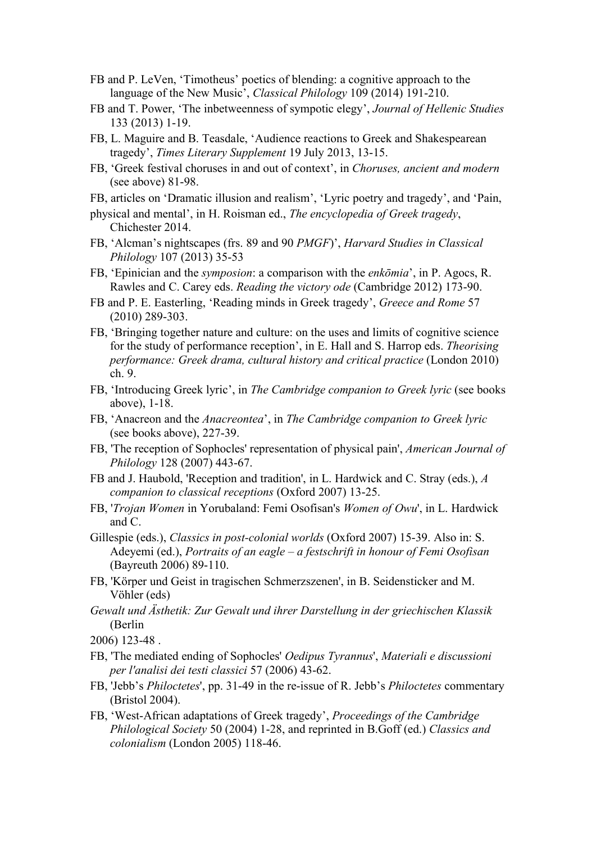- FB and P. LeVen, 'Timotheus' poetics of blending: a cognitive approach to the language of the New Music', *Classical Philology* 109 (2014) 191-210.
- FB and T. Power, 'The inbetweenness of sympotic elegy', *Journal of Hellenic Studies* 133 (2013) 1-19.
- FB, L. Maguire and B. Teasdale, 'Audience reactions to Greek and Shakespearean tragedy', *Times Literary Supplement* 19 July 2013, 13-15.
- FB, 'Greek festival choruses in and out of context', in *Choruses, ancient and modern* (see above) 81-98.
- FB, articles on 'Dramatic illusion and realism', 'Lyric poetry and tragedy', and 'Pain,
- physical and mental', in H. Roisman ed., *The encyclopedia of Greek tragedy*, Chichester 2014.
- FB, 'Alcman's nightscapes (frs. 89 and 90 *PMGF*)', *Harvard Studies in Classical Philology* 107 (2013) 35-53
- FB, 'Epinician and the *symposion*: a comparison with the *enkōmia*', in P. Agocs, R. Rawles and C. Carey eds. *Reading the victory ode* (Cambridge 2012) 173-90.
- FB and P. E. Easterling, 'Reading minds in Greek tragedy', *Greece and Rome* 57 (2010) 289-303.
- FB, 'Bringing together nature and culture: on the uses and limits of cognitive science for the study of performance reception', in E. Hall and S. Harrop eds. *Theorising performance: Greek drama, cultural history and critical practice* (London 2010) ch. 9.
- FB, 'Introducing Greek lyric', in *The Cambridge companion to Greek lyric* (see books above), 1-18.
- FB, 'Anacreon and the *Anacreontea*', in *The Cambridge companion to Greek lyric* (see books above), 227-39.
- FB, 'The reception of Sophocles' representation of physical pain', *American Journal of Philology* 128 (2007) 443-67.
- FB and J. Haubold, 'Reception and tradition', in L. Hardwick and C. Stray (eds.), *A companion to classical receptions* (Oxford 2007) 13-25.
- FB, '*Trojan Women* in Yorubaland: Femi Osofisan's *Women of Owu*', in L. Hardwick and C.
- Gillespie (eds.), *Classics in post-colonial worlds* (Oxford 2007) 15-39. Also in: S. Adeyemi (ed.), *Portraits of an eagle – a festschrift in honour of Femi Osofisan* (Bayreuth 2006) 89-110.
- FB, 'Körper und Geist in tragischen Schmerzszenen', in B. Seidensticker and M. Vöhler (eds)
- *Gewalt und Ästhetik: Zur Gewalt und ihrer Darstellung in der griechischen Klassik* (Berlin
- 2006) 123-48 .
- FB, 'The mediated ending of Sophocles' *Oedipus Tyrannus*', *Materiali e discussioni per l'analisi dei testi classici* 57 (2006) 43-62.
- FB, 'Jebb's *Philoctetes*', pp. 31-49 in the re-issue of R. Jebb's *Philoctetes* commentary (Bristol 2004).
- FB, 'West-African adaptations of Greek tragedy', *Proceedings of the Cambridge Philological Society* 50 (2004) 1-28, and reprinted in B.Goff (ed.) *Classics and colonialism* (London 2005) 118-46.